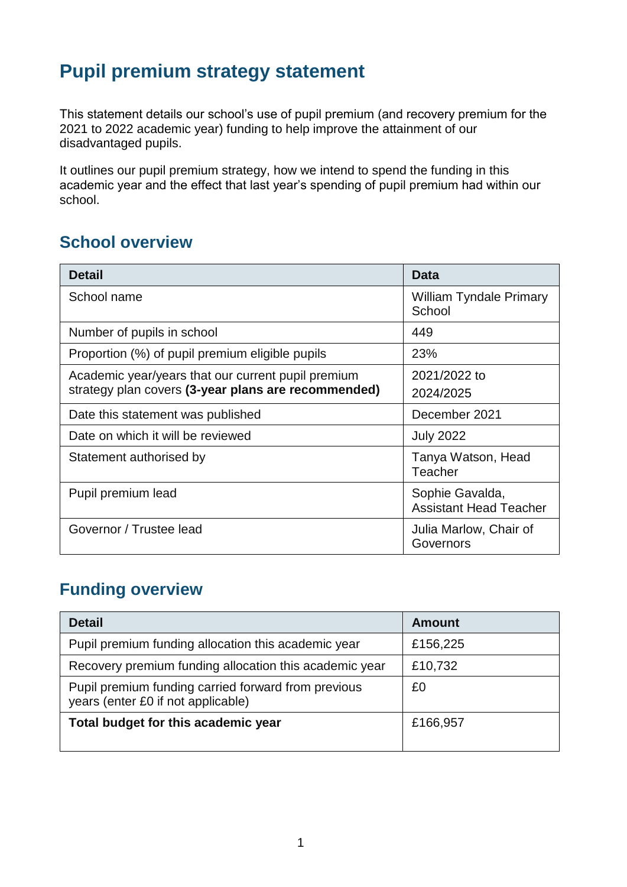## **Pupil premium strategy statement**

This statement details our school's use of pupil premium (and recovery premium for the 2021 to 2022 academic year) funding to help improve the attainment of our disadvantaged pupils.

It outlines our pupil premium strategy, how we intend to spend the funding in this academic year and the effect that last year's spending of pupil premium had within our school.

#### **School overview**

| <b>Detail</b>                                       | <b>Data</b>                                      |
|-----------------------------------------------------|--------------------------------------------------|
| School name                                         | <b>William Tyndale Primary</b><br>School         |
| Number of pupils in school                          | 449                                              |
| Proportion (%) of pupil premium eligible pupils     | 23%                                              |
| Academic year/years that our current pupil premium  | 2021/2022 to                                     |
| strategy plan covers (3-year plans are recommended) | 2024/2025                                        |
| Date this statement was published                   | December 2021                                    |
| Date on which it will be reviewed                   | <b>July 2022</b>                                 |
| Statement authorised by                             | Tanya Watson, Head<br>Teacher                    |
| Pupil premium lead                                  | Sophie Gavalda,<br><b>Assistant Head Teacher</b> |
| Governor / Trustee lead                             | Julia Marlow, Chair of<br>Governors              |

## **Funding overview**

| <b>Detail</b>                                                                             | <b>Amount</b> |
|-------------------------------------------------------------------------------------------|---------------|
| Pupil premium funding allocation this academic year                                       | £156,225      |
| Recovery premium funding allocation this academic year                                    | £10,732       |
| Pupil premium funding carried forward from previous<br>years (enter £0 if not applicable) | £0            |
| Total budget for this academic year                                                       | £166,957      |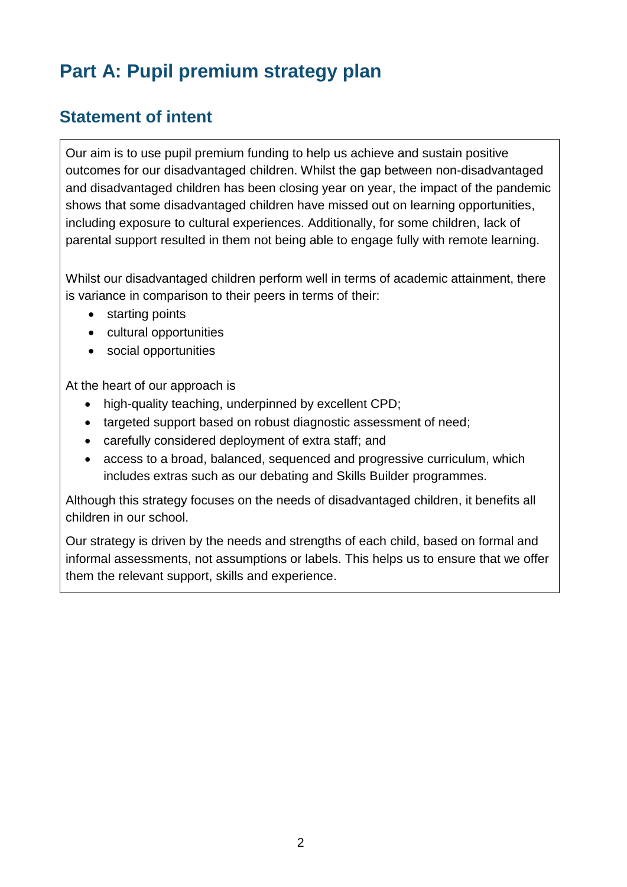# **Part A: Pupil premium strategy plan**

## **Statement of intent**

Our aim is to use pupil premium funding to help us achieve and sustain positive outcomes for our disadvantaged children. Whilst the gap between non-disadvantaged and disadvantaged children has been closing year on year, the impact of the pandemic shows that some disadvantaged children have missed out on learning opportunities, including exposure to cultural experiences. Additionally, for some children, lack of parental support resulted in them not being able to engage fully with remote learning.

Whilst our disadvantaged children perform well in terms of academic attainment, there is variance in comparison to their peers in terms of their:

- starting points
- cultural opportunities
- social opportunities

At the heart of our approach is

- high-quality teaching, underpinned by excellent CPD;
- targeted support based on robust diagnostic assessment of need:
- carefully considered deployment of extra staff; and
- access to a broad, balanced, sequenced and progressive curriculum, which includes extras such as our debating and Skills Builder programmes.

Although this strategy focuses on the needs of disadvantaged children, it benefits all children in our school.

Our strategy is driven by the needs and strengths of each child, based on formal and informal assessments, not assumptions or labels. This helps us to ensure that we offer them the relevant support, skills and experience.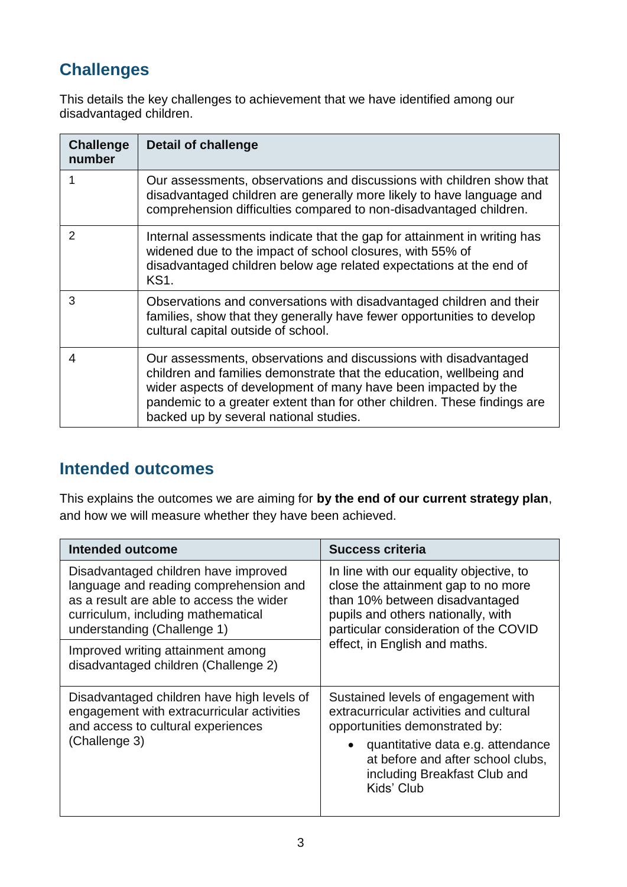## **Challenges**

This details the key challenges to achievement that we have identified among our disadvantaged children.

| <b>Challenge</b><br>number | <b>Detail of challenge</b>                                                                                                                                                                                                                                                                                                      |
|----------------------------|---------------------------------------------------------------------------------------------------------------------------------------------------------------------------------------------------------------------------------------------------------------------------------------------------------------------------------|
|                            | Our assessments, observations and discussions with children show that<br>disadvantaged children are generally more likely to have language and<br>comprehension difficulties compared to non-disadvantaged children.                                                                                                            |
| 2                          | Internal assessments indicate that the gap for attainment in writing has<br>widened due to the impact of school closures, with 55% of<br>disadvantaged children below age related expectations at the end of<br><b>KS1.</b>                                                                                                     |
| 3                          | Observations and conversations with disadvantaged children and their<br>families, show that they generally have fewer opportunities to develop<br>cultural capital outside of school.                                                                                                                                           |
| 4                          | Our assessments, observations and discussions with disadvantaged<br>children and families demonstrate that the education, wellbeing and<br>wider aspects of development of many have been impacted by the<br>pandemic to a greater extent than for other children. These findings are<br>backed up by several national studies. |

#### **Intended outcomes**

This explains the outcomes we are aiming for **by the end of our current strategy plan**, and how we will measure whether they have been achieved.

| <b>Intended outcome</b>                                                                                                                                                                         | <b>Success criteria</b>                                                                                                                                                                                                                               |
|-------------------------------------------------------------------------------------------------------------------------------------------------------------------------------------------------|-------------------------------------------------------------------------------------------------------------------------------------------------------------------------------------------------------------------------------------------------------|
| Disadvantaged children have improved<br>language and reading comprehension and<br>as a result are able to access the wider<br>curriculum, including mathematical<br>understanding (Challenge 1) | In line with our equality objective, to<br>close the attainment gap to no more<br>than 10% between disadvantaged<br>pupils and others nationally, with<br>particular consideration of the COVID                                                       |
| Improved writing attainment among<br>disadvantaged children (Challenge 2)                                                                                                                       | effect, in English and maths.                                                                                                                                                                                                                         |
| Disadvantaged children have high levels of<br>engagement with extracurricular activities<br>and access to cultural experiences<br>(Challenge 3)                                                 | Sustained levels of engagement with<br>extracurricular activities and cultural<br>opportunities demonstrated by:<br>quantitative data e.g. attendance<br>$\bullet$<br>at before and after school clubs,<br>including Breakfast Club and<br>Kids' Club |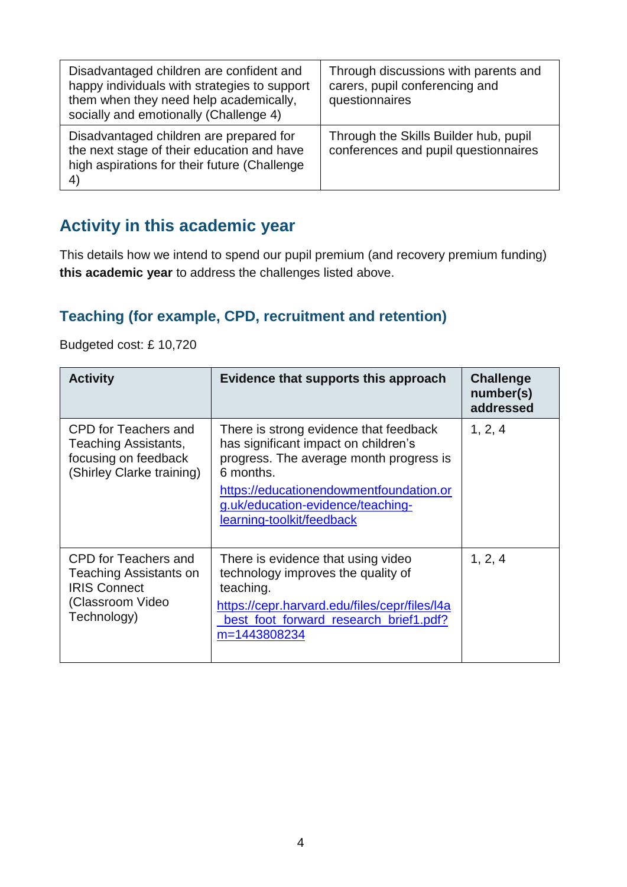| Disadvantaged children are confident and<br>happy individuals with strategies to support<br>them when they need help academically,<br>socially and emotionally (Challenge 4) | Through discussions with parents and<br>carers, pupil conferencing and<br>questionnaires |
|------------------------------------------------------------------------------------------------------------------------------------------------------------------------------|------------------------------------------------------------------------------------------|
| Disadvantaged children are prepared for<br>the next stage of their education and have<br>high aspirations for their future (Challenge<br>4)                                  | Through the Skills Builder hub, pupil<br>conferences and pupil questionnaires            |

## **Activity in this academic year**

This details how we intend to spend our pupil premium (and recovery premium funding) **this academic year** to address the challenges listed above.

#### **Teaching (for example, CPD, recruitment and retention)**

| <b>Activity</b>                                                                                                 | Evidence that supports this approach                                                                                                                                                                                                                | <b>Challenge</b><br>number(s)<br>addressed |
|-----------------------------------------------------------------------------------------------------------------|-----------------------------------------------------------------------------------------------------------------------------------------------------------------------------------------------------------------------------------------------------|--------------------------------------------|
| CPD for Teachers and<br>Teaching Assistants,<br>focusing on feedback<br>(Shirley Clarke training)               | There is strong evidence that feedback<br>has significant impact on children's<br>progress. The average month progress is<br>6 months.<br>https://educationendowmentfoundation.or<br>g.uk/education-evidence/teaching-<br>learning-toolkit/feedback | 1, 2, 4                                    |
| CPD for Teachers and<br><b>Teaching Assistants on</b><br><b>IRIS Connect</b><br>(Classroom Video<br>Technology) | There is evidence that using video<br>technology improves the quality of<br>teaching.<br>https://cepr.harvard.edu/files/cepr/files/l4a<br>best_foot_forward_research_brief1.pdf?<br>m=1443808234                                                    | 1, 2, 4                                    |

Budgeted cost: £ 10,720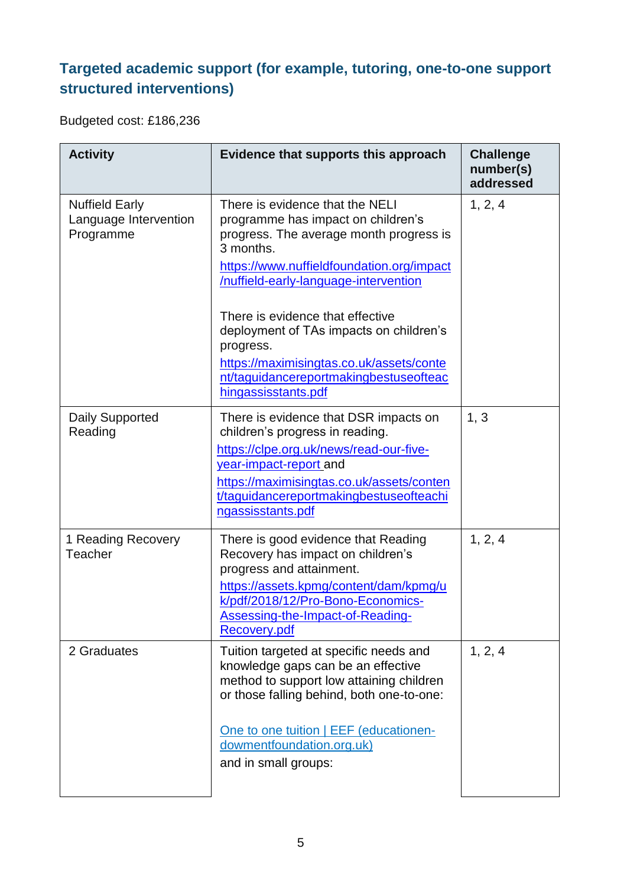## **Targeted academic support (for example, tutoring, one-to-one support structured interventions)**

Budgeted cost: £186,236

| <b>Activity</b>                                             | Evidence that supports this approach                                                                                                                                                                                                                                                                                                                                                                                         | <b>Challenge</b><br>number(s)<br>addressed |
|-------------------------------------------------------------|------------------------------------------------------------------------------------------------------------------------------------------------------------------------------------------------------------------------------------------------------------------------------------------------------------------------------------------------------------------------------------------------------------------------------|--------------------------------------------|
| <b>Nuffield Early</b><br>Language Intervention<br>Programme | There is evidence that the NELI<br>programme has impact on children's<br>progress. The average month progress is<br>3 months.<br>https://www.nuffieldfoundation.org/impact<br>/nuffield-early-language-intervention<br>There is evidence that effective<br>deployment of TAs impacts on children's<br>progress.<br>https://maximisingtas.co.uk/assets/conte<br>nt/taguidancereportmakingbestuseofteac<br>hingassisstants.pdf | 1, 2, 4                                    |
| <b>Daily Supported</b><br>Reading                           | There is evidence that DSR impacts on<br>children's progress in reading.<br>https://clpe.org.uk/news/read-our-five-<br>year-impact-report and<br>https://maximisingtas.co.uk/assets/conten<br>t/taguidancereportmakingbestuseofteachi<br>ngassisstants.pdf                                                                                                                                                                   | 1, 3                                       |
| 1 Reading Recovery<br>Teacher                               | There is good evidence that Reading<br>Recovery has impact on children's<br>progress and attainment.<br>https://assets.kpmg/content/dam/kpmg/u<br>k/pdf/2018/12/Pro-Bono-Economics-<br>Assessing-the-Impact-of-Reading-<br>Recovery.pdf                                                                                                                                                                                      | 1, 2, 4                                    |
| 2 Graduates                                                 | Tuition targeted at specific needs and<br>knowledge gaps can be an effective<br>method to support low attaining children<br>or those falling behind, both one-to-one:<br>One to one tuition   EEF (educationen-<br>dowmentfoundation.org.uk)<br>and in small groups:                                                                                                                                                         | 1, 2, 4                                    |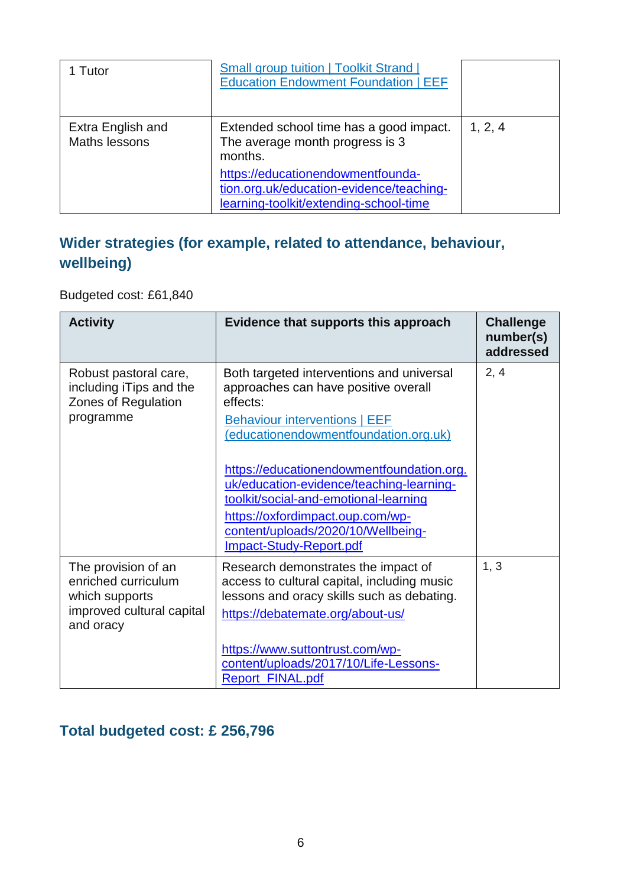| 1 Tutor                            | <b>Small group tuition   Toolkit Strand  </b><br><b>Education Endowment Foundation   EEF</b>                            |         |
|------------------------------------|-------------------------------------------------------------------------------------------------------------------------|---------|
| Extra English and<br>Maths lessons | Extended school time has a good impact.<br>The average month progress is 3<br>months.                                   | 1, 2, 4 |
|                                    | https://educationendowmentfounda-<br>tion.org.uk/education-evidence/teaching-<br>learning-toolkit/extending-school-time |         |

## **Wider strategies (for example, related to attendance, behaviour, wellbeing)**

Budgeted cost: £61,840

| <b>Activity</b>                                                                                        | Evidence that supports this approach                                                                                                                                                                                                       | <b>Challenge</b><br>number(s)<br>addressed |
|--------------------------------------------------------------------------------------------------------|--------------------------------------------------------------------------------------------------------------------------------------------------------------------------------------------------------------------------------------------|--------------------------------------------|
| Robust pastoral care,<br>including iTips and the<br>Zones of Regulation<br>programme                   | Both targeted interventions and universal<br>approaches can have positive overall<br>effects:<br><b>Behaviour interventions   EEF</b><br>(educationendowmentfoundation.org.uk)                                                             | 2, 4                                       |
|                                                                                                        | https://educationendowmentfoundation.org.<br>uk/education-evidence/teaching-learning-<br>toolkit/social-and-emotional-learning<br>https://oxfordimpact.oup.com/wp-<br>content/uploads/2020/10/Wellbeing-<br><b>Impact-Study-Report.pdf</b> |                                            |
| The provision of an<br>enriched curriculum<br>which supports<br>improved cultural capital<br>and oracy | Research demonstrates the impact of<br>access to cultural capital, including music<br>lessons and oracy skills such as debating.<br>https://debatemate.org/about-us/                                                                       | 1, 3                                       |
|                                                                                                        | https://www.suttontrust.com/wp-<br>content/uploads/2017/10/Life-Lessons-<br>Report_FINAL.pdf                                                                                                                                               |                                            |

#### **Total budgeted cost: £ 256,796**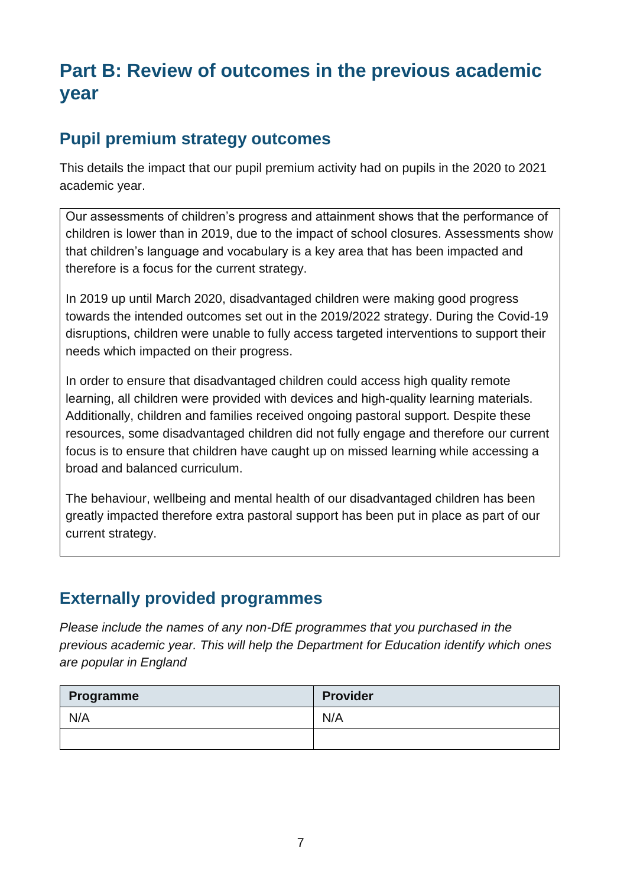## **Part B: Review of outcomes in the previous academic year**

#### **Pupil premium strategy outcomes**

This details the impact that our pupil premium activity had on pupils in the 2020 to 2021 academic year.

Our assessments of children's progress and attainment shows that the performance of children is lower than in 2019, due to the impact of school closures. Assessments show that children's language and vocabulary is a key area that has been impacted and therefore is a focus for the current strategy.

In 2019 up until March 2020, disadvantaged children were making good progress towards the intended outcomes set out in the 2019/2022 strategy. During the Covid-19 disruptions, children were unable to fully access targeted interventions to support their needs which impacted on their progress.

In order to ensure that disadvantaged children could access high quality remote learning, all children were provided with devices and high-quality learning materials. Additionally, children and families received ongoing pastoral support. Despite these resources, some disadvantaged children did not fully engage and therefore our current focus is to ensure that children have caught up on missed learning while accessing a broad and balanced curriculum.

The behaviour, wellbeing and mental health of our disadvantaged children has been greatly impacted therefore extra pastoral support has been put in place as part of our current strategy.

#### **Externally provided programmes**

*Please include the names of any non-DfE programmes that you purchased in the previous academic year. This will help the Department for Education identify which ones are popular in England*

| Programme | <b>Provider</b> |
|-----------|-----------------|
| N/A       | N/A             |
|           |                 |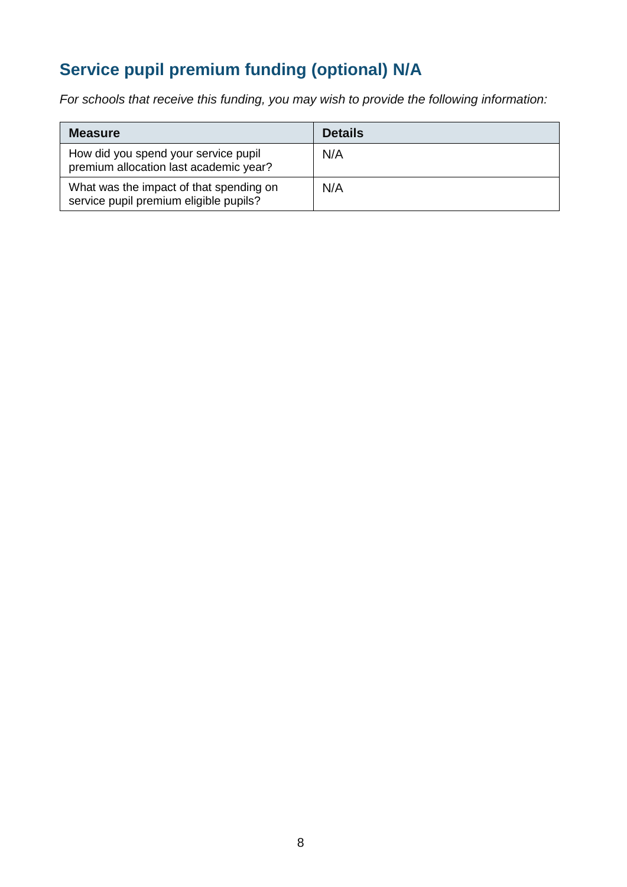## **Service pupil premium funding (optional) N/A**

*For schools that receive this funding, you may wish to provide the following information:* 

| <b>Measure</b>                                                                    | <b>Details</b> |
|-----------------------------------------------------------------------------------|----------------|
| How did you spend your service pupil<br>premium allocation last academic year?    | N/A            |
| What was the impact of that spending on<br>service pupil premium eligible pupils? | N/A            |